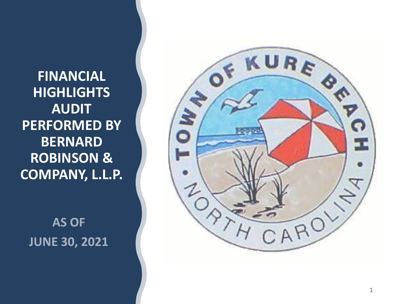**FINANCIAL HIGHLIGHTS AUDIT PERFORMED BY BERNARD ROBINSON & COMPANY, L.L.P.**

**AS OF JUNE 30, 2021** 

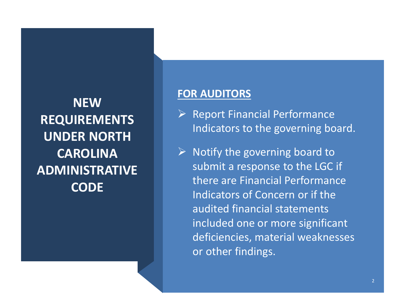**NEW REQUIREMENTS UNDER NORTH CAROLINA ADMINISTRATIVE CODE**

### **FOR AUDITORS**

- ➢ Report Financial Performance Indicators to the governing board.
- $\triangleright$  Notify the governing board to submit a response to the LGC if there are Financial Performance Indicators of Concern or if the audited financial statements included one or more significant deficiencies, material weaknesses or other findings.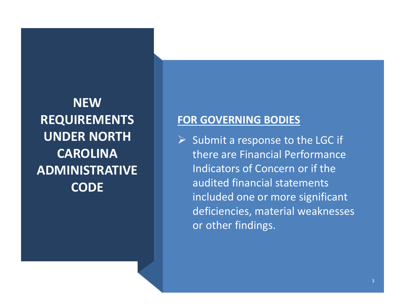**NEW REQUIREMENTS UNDER NORTH CAROLINA ADMINISTRATIVE CODE**

### **FOR GOVERNING BODIES**

 $\triangleright$  Submit a response to the LGC if there are Financial Performance Indicators of Concern or if the audited financial statements included one or more significant deficiencies, material weaknesses or other findings.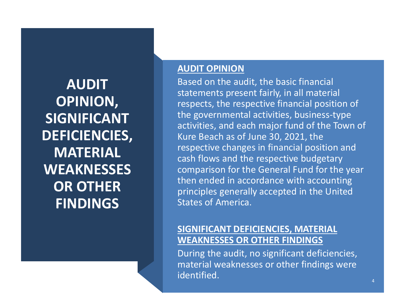**AUDIT OPINION, SIGNIFICANT DEFICIENCIES, MATERIAL WEAKNESSES OR OTHER FINDINGS**

#### **AUDIT OPINION**

Based on the audit, the basic financial statements present fairly, in all material respects, the respective financial position of the governmental activities, business-type activities, and each major fund of the Town of Kure Beach as of June 30, 2021, the respective changes in financial position and cash flows and the respective budgetary comparison for the General Fund for the year then ended in accordance with accounting principles generally accepted in the United States of America.

#### **SIGNIFICANT DEFICIENCIES, MATERIAL WEAKNESSES OR OTHER FINDINGS**

During the audit, no significant deficiencies, material weaknesses or other findings were identified.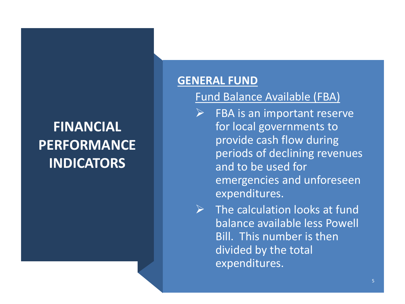### **GENERAL FUND**

### Fund Balance Available (FBA)

- $\triangleright$  FBA is an important reserve for local governments to provide cash flow during periods of declining revenues and to be used for emergencies and unforeseen expenditures.
- $\triangleright$  The calculation looks at fund balance available less Powell Bill. This number is then divided by the total expenditures.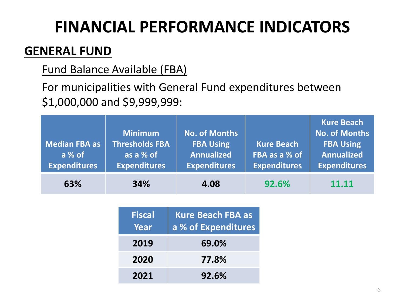### **GENERAL FUND**

### Fund Balance Available (FBA)

For municipalities with General Fund expenditures between \$1,000,000 and \$9,999,999:

| <b>Median FBA as</b><br>a % of<br><b>Expenditures</b> | <b>Minimum</b><br><b>Thresholds FBA</b><br>as a % of<br><b>Expenditures</b> | <b>No. of Months</b><br><b>FBA Using</b><br><b>Annualized</b><br><b>Expenditures</b> | <b>Kure Beach</b><br>FBA as a % of<br><b>Expenditures</b> | <b>Kure Beach</b><br><b>No. of Months</b><br><b>FBA Using</b><br><b>Annualized</b><br><b>Expenditures</b> |
|-------------------------------------------------------|-----------------------------------------------------------------------------|--------------------------------------------------------------------------------------|-----------------------------------------------------------|-----------------------------------------------------------------------------------------------------------|
| 63%                                                   | 34%                                                                         | 4.08                                                                                 | 92.6%                                                     | 11.11                                                                                                     |

| <b>Fiscal</b><br>Year | <b>Kure Beach FBA as</b><br>a % of Expenditures |
|-----------------------|-------------------------------------------------|
| 2019                  | 69.0%                                           |
| 2020                  | 77.8%                                           |
| 2021                  | 92.6%                                           |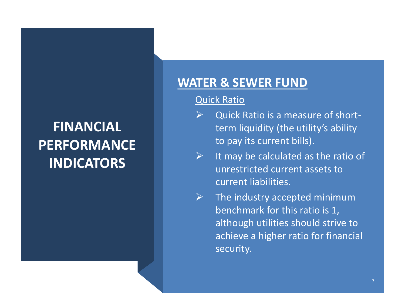### **WATER & SEWER FUND**

### Quick Ratio

- $\triangleright$  Quick Ratio is a measure of shortterm liquidity (the utility's ability to pay its current bills).
- $\triangleright$  It may be calculated as the ratio of unrestricted current assets to current liabilities.
- $\triangleright$  The industry accepted minimum benchmark for this ratio is 1, although utilities should strive to achieve a higher ratio for financial security.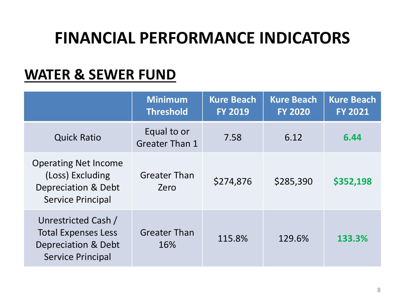### **WATER & SEWER FUND**

|                                                                                                      | <b>Minimum</b><br><b>Threshold</b>   | <b>Kure Beach</b><br><b>FY 2019</b> | <b>Kure Beach</b><br><b>FY 2020</b> | <b>Kure Beach</b><br><b>FY 2021</b> |
|------------------------------------------------------------------------------------------------------|--------------------------------------|-------------------------------------|-------------------------------------|-------------------------------------|
| <b>Quick Ratio</b>                                                                                   | Equal to or<br><b>Greater Than 1</b> | 7.58                                | 6.12                                | 6.44                                |
| <b>Operating Net Income</b><br>(Loss) Excluding<br>Depreciation & Debt<br><b>Service Principal</b>   | <b>Greater Than</b><br>Zero          | \$274,876                           | \$285,390                           | \$352,198                           |
| Unrestricted Cash /<br><b>Total Expenses Less</b><br>Depreciation & Debt<br><b>Service Principal</b> | <b>Greater Than</b><br>16%           | 115.8%                              | 129.6%                              | 133.3%                              |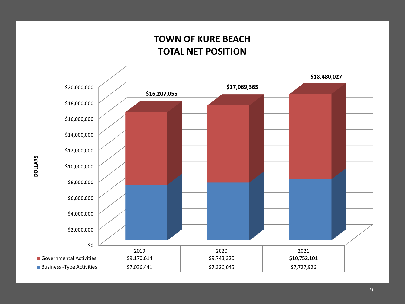### **TOWN OF KURE BEACH TOTAL NET POSITION**

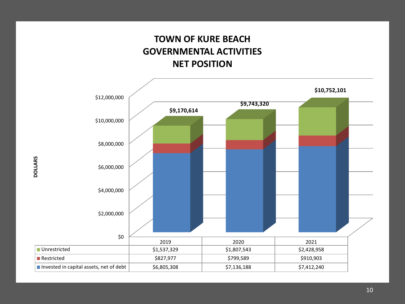### **TOWN OF KURE BEACH GOVERNMENTAL ACTIVITIES NET POSITION**

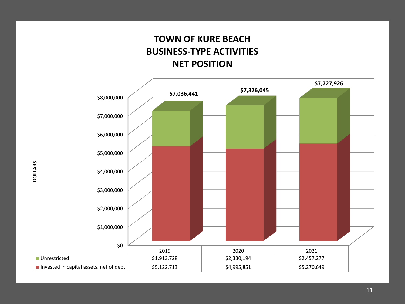### **TOWN OF KURE BEACH BUSINESS-TYPE ACTIVITIES NET POSITION**



**DOLLARS**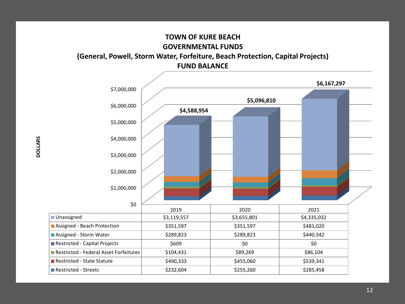

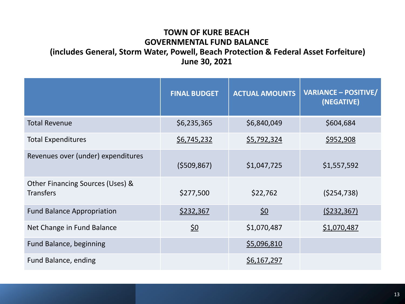#### **TOWN OF KURE BEACH GOVERNMENTAL FUND BALANCE (includes General, Storm Water, Powell, Beach Protection & Federal Asset Forfeiture) June 30, 2021**

|                                                      | <b>FINAL BUDGET</b> | <b>ACTUAL AMOUNTS</b> | <b>VARIANCE - POSITIVE/</b><br>(NEGATIVE) |
|------------------------------------------------------|---------------------|-----------------------|-------------------------------------------|
| <b>Total Revenue</b>                                 | \$6,235,365         | \$6,840,049           | \$604,684                                 |
| <b>Total Expenditures</b>                            | \$6,745,232         | \$5,792,324           | \$952,908                                 |
| Revenues over (under) expenditures                   | (5509, 867)         | \$1,047,725           | \$1,557,592                               |
| Other Financing Sources (Uses) &<br><b>Transfers</b> | \$277,500           | \$22,762              | ( \$254, 738)                             |
| <b>Fund Balance Appropriation</b>                    | \$232,367           | <u>\$0</u>            | (5232, 367)                               |
| Net Change in Fund Balance                           | <u>\$0</u>          | \$1,070,487           | \$1,070,487                               |
| <b>Fund Balance, beginning</b>                       |                     | \$5,096,810           |                                           |
| Fund Balance, ending                                 |                     | \$6,167,297           |                                           |